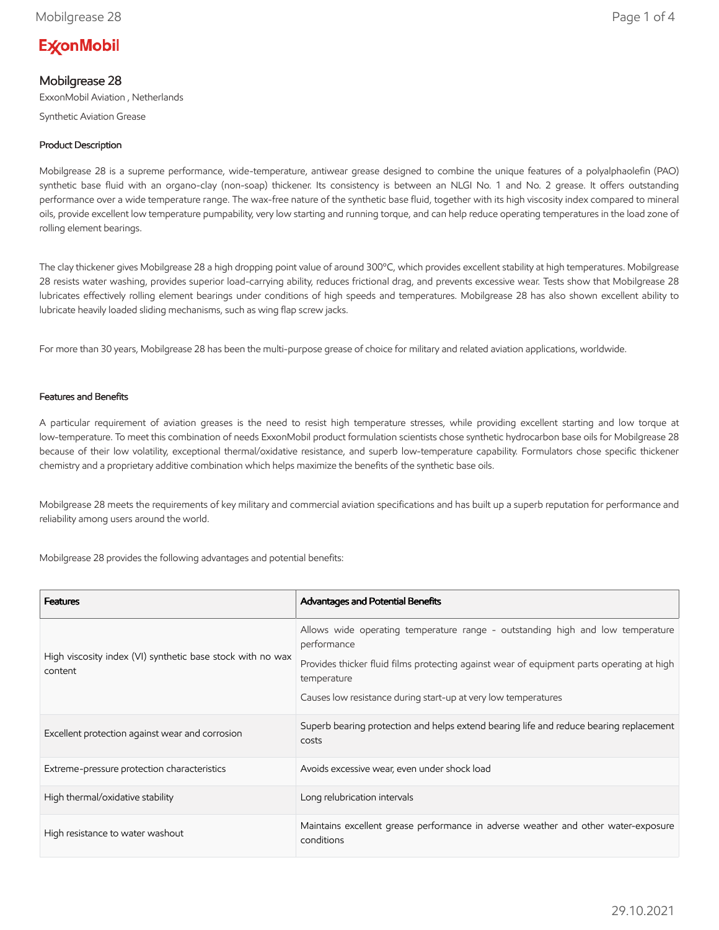# **ExconMobil**

# Mobilgrease 28

ExxonMobil Aviation , Netherlands

Synthetic Aviation Grease

## Product Description

Mobilgrease 28 is a supreme performance, wide-temperature, antiwear grease designed to combine the unique features of a polyalphaolefin (PAO) synthetic base fluid with an organo-clay (non-soap) thickener. Its consistency is between an NLGI No. 1 and No. 2 grease. It offers outstanding performance over a wide temperature range. The wax-free nature of the synthetic base fluid, together with its high viscosity index compared to mineral oils, provide excellent low temperature pumpability, very low starting and running torque, and can help reduce operating temperatures in the load zone of rolling element bearings.

The clay thickener gives Mobilgrease 28 a high dropping point value of around 300ºC, which provides excellent stability at high temperatures. Mobilgrease 28 resists water washing, provides superior load-carrying ability, reduces frictional drag, and prevents excessive wear. Tests show that Mobilgrease 28 lubricates effectively rolling element bearings under conditions of high speeds and temperatures. Mobilgrease 28 has also shown excellent ability to lubricate heavily loaded sliding mechanisms, such as wing flap screw jacks.

For more than 30 years, Mobilgrease 28 has been the multi-purpose grease of choice for military and related aviation applications, worldwide.

## Features and Benefits

A particular requirement of aviation greases is the need to resist high temperature stresses, while providing excellent starting and low torque at low-temperature. To meet this combination of needs ExxonMobil product formulation scientists chose synthetic hydrocarbon base oils for Mobilgrease 28 because of their low volatility, exceptional thermal/oxidative resistance, and superb low-temperature capability. Formulators chose specific thickener chemistry and a proprietary additive combination which helps maximize the benefits of the synthetic base oils.

Mobilgrease 28 meets the requirements of key military and commercial aviation specifications and has built up a superb reputation for performance and reliability among users around the world.

Mobilgrease 28 provides the following advantages and potential benefits:

| <b>Features</b>                                                       | <b>Advantages and Potential Benefits</b>                                                                                                                                                                                                                                    |
|-----------------------------------------------------------------------|-----------------------------------------------------------------------------------------------------------------------------------------------------------------------------------------------------------------------------------------------------------------------------|
| High viscosity index (VI) synthetic base stock with no wax<br>content | Allows wide operating temperature range - outstanding high and low temperature<br>performance<br>Provides thicker fluid films protecting against wear of equipment parts operating at high<br>temperature<br>Causes low resistance during start-up at very low temperatures |
| Excellent protection against wear and corrosion                       | Superb bearing protection and helps extend bearing life and reduce bearing replacement<br>costs                                                                                                                                                                             |
| Extreme-pressure protection characteristics                           | Avoids excessive wear, even under shock load                                                                                                                                                                                                                                |
| High thermal/oxidative stability                                      | Long relubrication intervals                                                                                                                                                                                                                                                |
| High resistance to water washout                                      | Maintains excellent grease performance in adverse weather and other water-exposure<br>conditions                                                                                                                                                                            |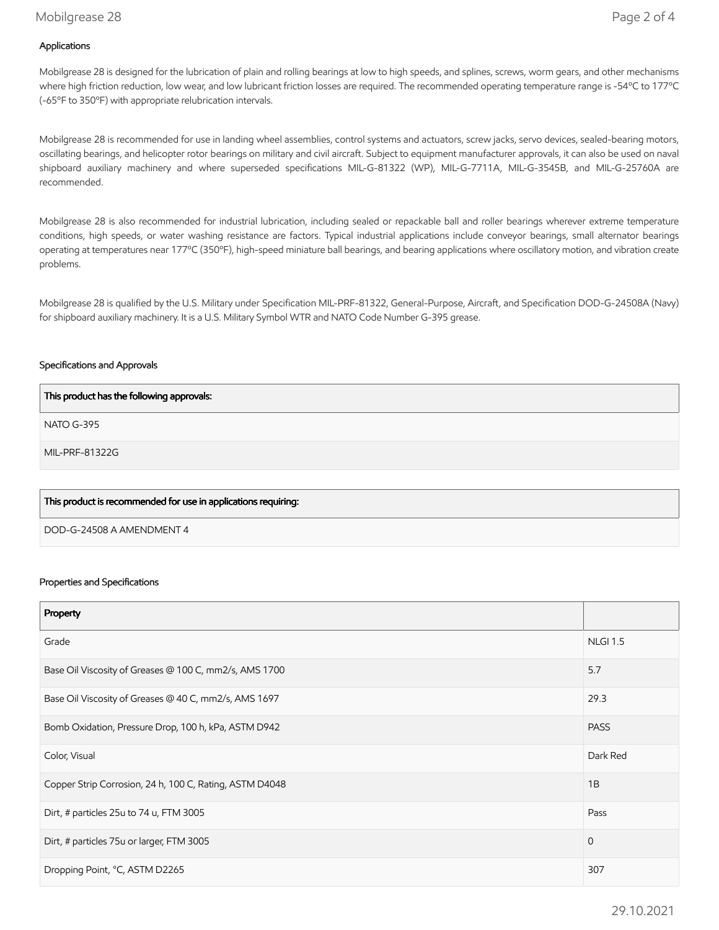## Mobilgrease 28 Page 2 of 4

## Applications

Mobilgrease 28 is designed for the lubrication of plain and rolling bearings at low to high speeds, and splines, screws, worm gears, and other mechanisms where high friction reduction, low wear, and low lubricant friction losses are required. The recommended operating temperature range is -54ºC to 177ºC (-65ºF to 350ºF) with appropriate relubrication intervals.

Mobilgrease 28 is recommended for use in landing wheel assemblies, control systems and actuators, screw jacks, servo devices, sealed-bearing motors, oscillating bearings, and helicopter rotor bearings on military and civil aircraft. Subject to equipment manufacturer approvals, it can also be used on naval shipboard auxiliary machinery and where superseded specifications MIL-G-81322 (WP), MIL-G-7711A, MIL-G-3545B, and MIL-G-25760A are recommended.

Mobilgrease 28 is also recommended for industrial lubrication, including sealed or repackable ball and roller bearings wherever extreme temperature conditions, high speeds, or water washing resistance are factors. Typical industrial applications include conveyor bearings, small alternator bearings operating at temperatures near 177ºC (350ºF), high-speed miniature ball bearings, and bearing applications where oscillatory motion, and vibration create problems.

Mobilgrease 28 is qualified by the U.S. Military under Specification MIL-PRF-81322, General-Purpose, Aircraft, and Specification DOD-G-24508A (Navy) for shipboard auxiliary machinery. It is a U.S. Military Symbol WTR and NATO Code Number G-395 grease.

#### Specifications and Approvals

| This product has the following approvals:                      |
|----------------------------------------------------------------|
| NATO G-395                                                     |
| MIL-PRF-81322G                                                 |
|                                                                |
| This product is recommended for use in applications requiring: |

DOD-G-24508 A AMENDMENT 4

#### Properties and Specifications

| Property                                                |                 |
|---------------------------------------------------------|-----------------|
| Grade                                                   | <b>NLGI 1.5</b> |
| Base Oil Viscosity of Greases @ 100 C, mm2/s, AMS 1700  | 5.7             |
| Base Oil Viscosity of Greases @ 40 C, mm2/s, AMS 1697   | 29.3            |
| Bomb Oxidation, Pressure Drop, 100 h, kPa, ASTM D942    | <b>PASS</b>     |
| Color, Visual                                           | Dark Red        |
| Copper Strip Corrosion, 24 h, 100 C, Rating, ASTM D4048 | 1B              |
| Dirt, # particles 25u to 74 u, FTM 3005                 | Pass            |
| Dirt, # particles 75u or larger, FTM 3005               | $\mathbf 0$     |
| Dropping Point, °C, ASTM D2265                          | 307             |